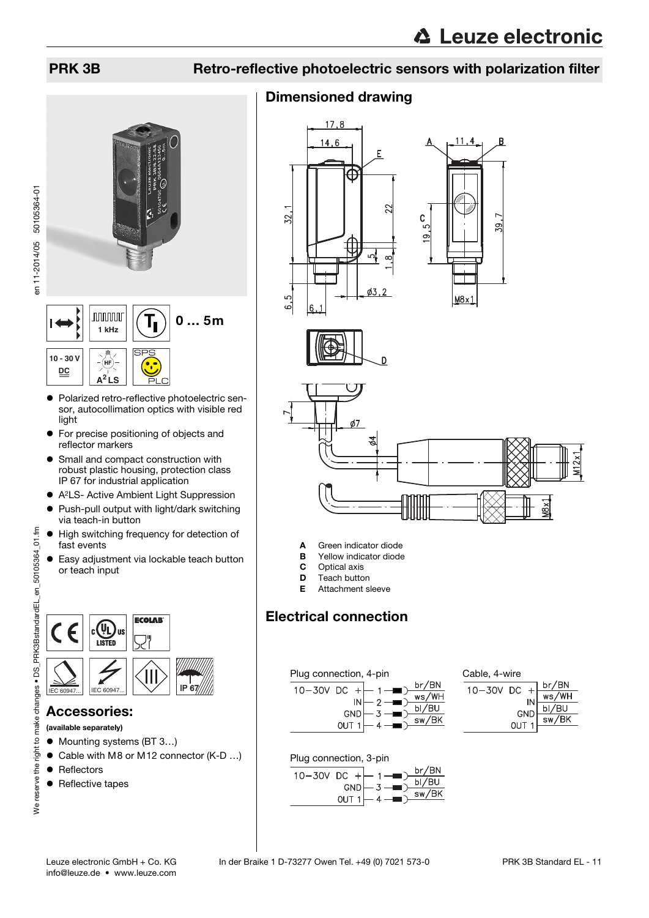en 11-2014/05 50105364-01

en 11-2014/05 50105364-01



- Polarized retro-reflective photoelectric sensor, autocollimation optics with visible red light
- **•** For precise positioning of objects and reflector markers
- **•** Small and compact construction with robust plastic housing, protection class IP 67 for industrial application
- A2LS- Active Ambient Light Suppression
- Push-pull output with light/dark switching via teach-in button
- $\bullet$  High switching frequency for detection of fast events
- Easy adjustment via lockable teach button or teach input



# Accessories:

#### (available separately)

- Mounting systems (BT 3...)
- Cable with M8 or M12 connector (K-D ...)
- Reflectors
- Reflective tapes

# PRK 3B Retro-reflective photoelectric sensors with polarization filter

# Dimensioned drawing









- A Green indicator diode
- **B** Yellow indicator diode
- **C** Optical axis<br>**D** Teach butto
- **D** Teach button<br>**E** Attachment s
- Attachment sleeve

# Electrical connection





| Cable, 4-wire |                  |      |                          |
|---------------|------------------|------|--------------------------|
| 10-30V DC     |                  | $+1$ | br/BN                    |
|               |                  | IN   | ws/WH                    |
|               |                  | GND  | bI/BU                    |
|               | OUT <sub>1</sub> |      | $\frac{1}{\text{sw/BK}}$ |
|               |                  |      |                          |



| 10-30V DC +⊣ |                   |  |                                              | br/BN |
|--------------|-------------------|--|----------------------------------------------|-------|
|              |                   |  | $GND \rightarrow 3 \rightarrow \blacksquare$ | bI/BU |
|              | $Q$ UT 1 $\vdash$ |  |                                              | sw/BK |
|              |                   |  |                                              |       |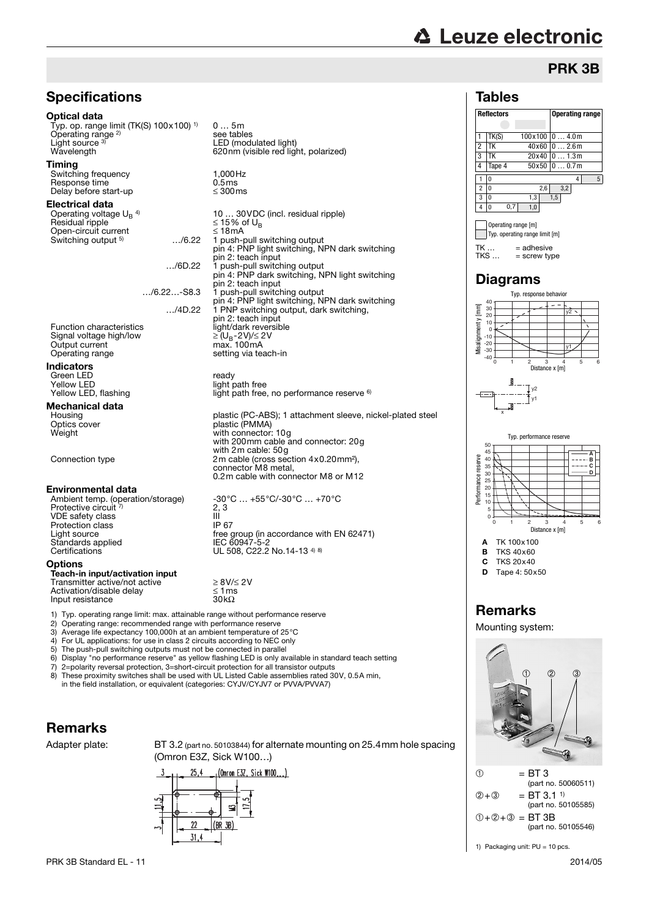# **∆ Leuze electronic**

# PRK 3B

### Tables

 $TK \dots = add \neq sch$ <br> $TKS = screw \ntvr$ 

 $=$  screw type

y1

y2

**Reflectors Operating range**

 $TK(S)$  100x100 0 ... 4.0m 2 TK 40x60 0 … 2.6m 3 TK 20x40 0 … 1.3m 4 Tape 4 50x50 0 … 0.7m 10 4 5 2 0 2,6 3,2  $3 \n\begin{array}{ccc} 3 & 0 & 13 & 15 \end{array}$  $4 \begin{bmatrix} 0 & 0.7 & 1.0 \end{bmatrix}$ Operating range [m] Typ. operating range limit [m]



4) For UL applications: for use in class 2 circuits according to NEC only

5) The push-pull switching outputs must not be connected in parallel

6) Display "no performance reserve" as yellow flashing LED is only available in standard teach setting

7) 2=polarity reversal protection, 3=short-circuit protection for all transistor outputs These proximity switches shall be used with UL Listed Cable assemblies rated 30V, 0.5A min,

in the field installation, or equivalent (categories: CYJV/CYJV7 or PVVA/PVVA7)

# Remarks

Adapter plate: BT 3.2 (part no. 50103844) for alternate mounting on 25.4mm hole spacing (Omron E3Z, Sick W100…)







**B** TKS 40x60

 $C$  TKS  $20x40$ 

# Remarks

Mounting system:



1) Packaging unit: PU = 10 pcs.

D Tape 4: 50x50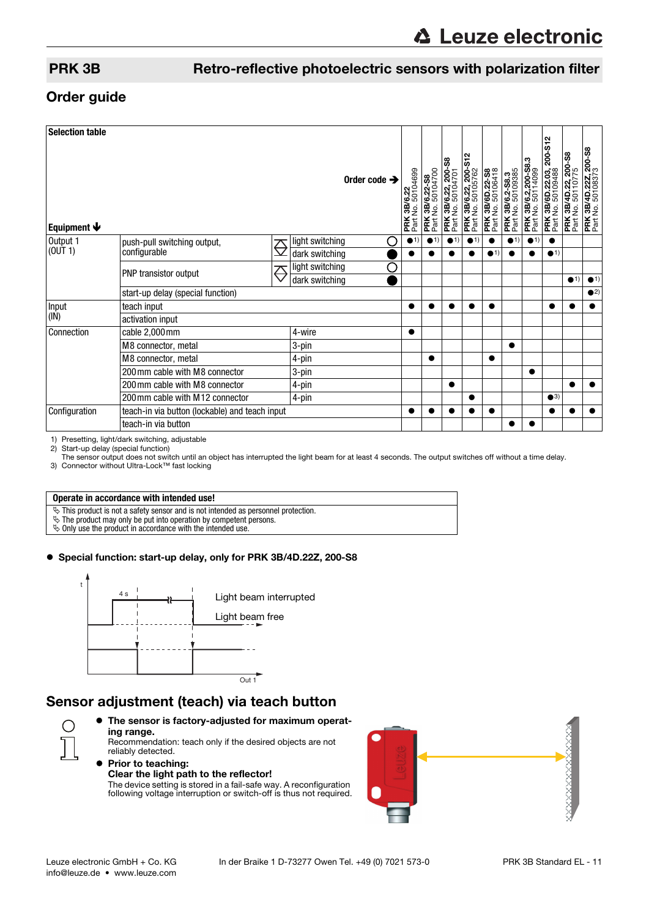### PRK 3B Retro-reflective photoelectric sensors with polarization filter

### Order guide

| <b>Selection table</b><br>Order code $\rightarrow$<br>Equipment $\blacklozenge$ |                                                |                         |                        |              | <b>PRK 3B/6.22</b><br>Part No. 50104699 | PRK 3B/6.22-S8<br>Part No. 50104700 | <b>PRK 3B/6.22, 200-S8</b><br>Part No. 50104701 | \$12<br><b>PRK 3B/6.22, 200-</b><br>Part No. 50105762 | PRK 3B/6D.22-S8<br>Part No. 50106418 | <b>PRK 3B/6.2-S8.3</b><br>Part No. 50109385<br>Part No. | <b>PRK 3B/6.2,200-S8.3</b><br>Part No. 50114099 | S12<br>200-<br>PRK 3B/6D.22.03,<br>Part No. 50109488 | <b>PRK 3B/4D.22, 200-S8</b><br>Part No. 50110775 | <b>PRK 3B/4D.22Z, 200-S8</b><br>Part No. 50108373 |
|---------------------------------------------------------------------------------|------------------------------------------------|-------------------------|------------------------|--------------|-----------------------------------------|-------------------------------------|-------------------------------------------------|-------------------------------------------------------|--------------------------------------|---------------------------------------------------------|-------------------------------------------------|------------------------------------------------------|--------------------------------------------------|---------------------------------------------------|
| Output 1<br>(OUT 1)                                                             | push-pull switching output,<br>configurable    | $\overline{\mathbb{C}}$ | light switching<br>( ) | $\bullet$ 1) |                                         | $\bullet$ 1)                        |                                                 | $\bullet$ 1)                                          |                                      | $\bullet$ 1)                                            | $\bullet$ 1)                                    | ●                                                    |                                                  |                                                   |
|                                                                                 |                                                |                         | dark switching         |              |                                         |                                     |                                                 |                                                       | $\bullet$ 1)                         |                                                         |                                                 | $\bullet$ 1)                                         |                                                  |                                                   |
|                                                                                 | Ê<br>PNP transistor output                     |                         | light switching<br>С   |              |                                         |                                     |                                                 |                                                       |                                      |                                                         |                                                 |                                                      |                                                  |                                                   |
|                                                                                 |                                                |                         | dark switching         |              |                                         |                                     |                                                 |                                                       |                                      |                                                         |                                                 |                                                      | $\bullet$ 1)                                     | $\bullet$ 1)                                      |
|                                                                                 | start-up delay (special function)              |                         |                        |              |                                         |                                     |                                                 |                                                       |                                      |                                                         |                                                 |                                                      |                                                  | $\bullet$ <sup>2)</sup>                           |
| Input<br>(IN)                                                                   | teach input                                    |                         |                        |              |                                         |                                     |                                                 |                                                       |                                      |                                                         |                                                 |                                                      |                                                  |                                                   |
|                                                                                 | activation input                               |                         |                        |              |                                         |                                     |                                                 |                                                       |                                      |                                                         |                                                 |                                                      |                                                  |                                                   |
| Connection                                                                      | cable 2,000mm                                  | 4-wire                  | $\bullet$              |              |                                         |                                     |                                                 |                                                       |                                      |                                                         |                                                 |                                                      |                                                  |                                                   |
|                                                                                 | M8 connector, metal                            | 3-pin                   |                        |              |                                         |                                     |                                                 |                                                       | $\bullet$                            |                                                         |                                                 |                                                      |                                                  |                                                   |
|                                                                                 | M8 connector, metal                            |                         | 4-pin                  |              |                                         |                                     |                                                 |                                                       |                                      |                                                         |                                                 |                                                      |                                                  |                                                   |
|                                                                                 | 200 mm cable with M8 connector                 |                         | 3-pin                  |              |                                         |                                     |                                                 |                                                       |                                      |                                                         | ●                                               |                                                      |                                                  |                                                   |
|                                                                                 | 200 mm cable with M8 connector                 |                         | 4-pin                  |              |                                         |                                     |                                                 |                                                       |                                      |                                                         |                                                 |                                                      |                                                  |                                                   |
|                                                                                 | 200 mm cable with M12 connector                | 4-pin                   |                        |              |                                         |                                     | ●                                               |                                                       |                                      |                                                         | $\bullet$ 3)                                    |                                                      |                                                  |                                                   |
| Configuration                                                                   | teach-in via button (lockable) and teach input |                         |                        | $\bullet$    |                                         |                                     |                                                 |                                                       |                                      |                                                         |                                                 | ●                                                    |                                                  |                                                   |
|                                                                                 | teach-in via button                            |                         |                        |              |                                         |                                     |                                                 |                                                       |                                      |                                                         |                                                 |                                                      |                                                  |                                                   |

1) Presetting, light/dark switching, adjustable<br>2) Start-up delay (special function)

2) Start-up delay (special function) The sensor output does not switch until an object has interrupted the light beam for at least 4 seconds. The output switches off without a time delay.

3) Connector without Ultra-Lock™ fast locking

# **Operate in accordance with intended use!**

 $\ddot{\phi}$  This product is not a safety sensor and is not intended as personnel protection.

 $\ddot{\psi}$  The product may only be put into operation by competent persons.

 $\&$  Only use the product in accordance with the intended use.

#### Special function: start-up delay, only for PRK 3B/4D.22Z, 200-S8



# Sensor adjustment (teach) via teach button

- The sensor is factory-adjusted for maximum operating range. Recommendation: teach only if the desired objects are not
	- reliably detected. **• Prior to teaching:** Clear the light path to the reflector!

The device setting is stored in a fail-safe way. A reconfiguration following voltage interruption or switch-off is thus not required.



◯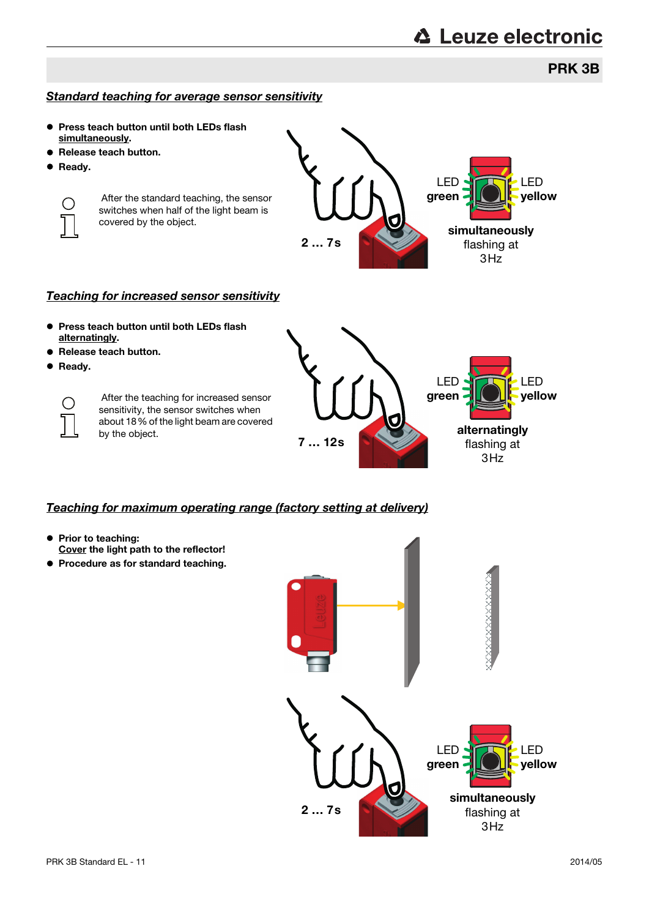# PRK 3B

#### Standard teaching for average sensor sensitivity

- Press teach button until both LEDs flash simultaneously.
- Release teach button.
- **•** Ready.



 After the standard teaching, the sensor switches when half of the light beam is covered by the object.



#### Teaching for increased sensor sensitivity

- **Press teach button until both LEDs flash** alternatingly.
- Release teach button.
- **•** Ready.

 $\bigcirc$ 

 After the teaching for increased sensor sensitivity, the sensor switches when about 18% of the light beam are covered by the object.



#### Teaching for maximum operating range (factory setting at delivery)

- Prior to teaching: Cover the light path to the reflector!
- **Procedure as for standard teaching.**

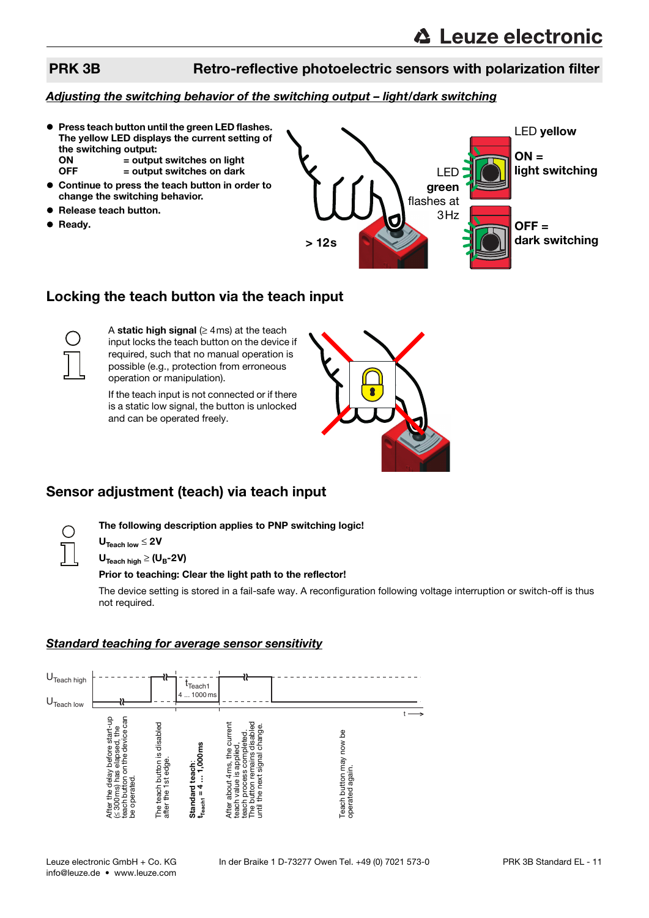# PRK 3B Retro-reflective photoelectric sensors with polarization filter

### Adjusting the switching behavior of the switching output – light/dark switching

- **Press teach button until the green LED flashes.** The yellow LED displays the current setting of the switching output:<br>  $ON = 0$  $=$  output switches on light  $OFF$  = output switches on dark
- Continue to press the teach button in order to change the switching behavior.
- Release teach button.
- **•** Ready.



# Locking the teach button via the teach input



A static high signal  $(≥ 4ms)$  at the teach input locks the teach button on the device if required, such that no manual operation is possible (e.g., protection from erroneous operation or manipulation).

If the teach input is not connected or if there is a static low signal, the button is unlocked and can be operated freely.



# Sensor adjustment (teach) via teach input

The following description applies to PNP switching logic!

 $U_{\text{Teach low}} \leq 2V$ 

 $U_{\text{Teach hich}} \geq (U_B - 2V)$ 

#### Prior to teaching: Clear the light path to the reflector!

The device setting is stored in a fail-safe way. A reconfiguration following voltage interruption or switch-off is thus not required.

#### Standard teaching for average sensor sensitivity